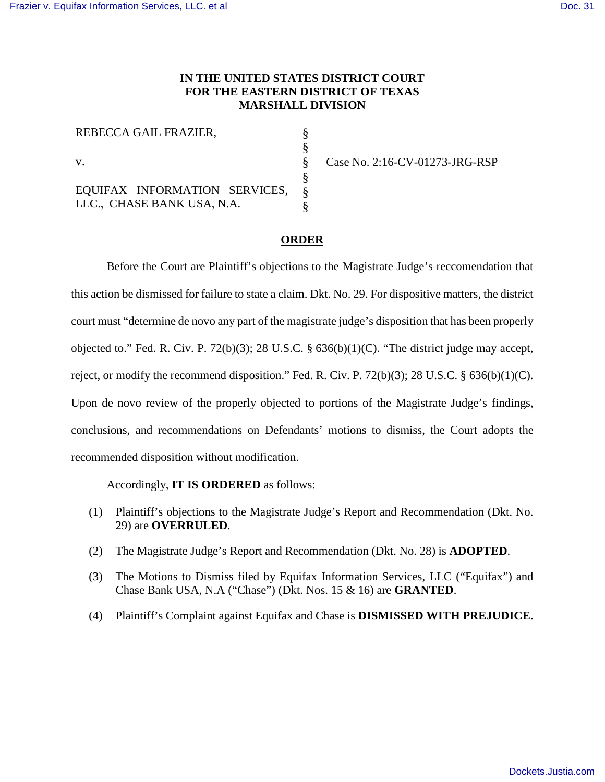## **IN THE UNITED STATES DISTRICT COURT FOR THE EASTERN DISTRICT OF TEXAS MARSHALL DIVISION**

| REBECCA GAIL FRAZIER,         |  |
|-------------------------------|--|
|                               |  |
| V.                            |  |
|                               |  |
| EQUIFAX INFORMATION SERVICES, |  |
| LLC., CHASE BANK USA, N.A.    |  |

Case No. 2:16-CV-01273-JRG-RSP

## **ORDER**

Before the Court are Plaintiff's objections to the Magistrate Judge's reccomendation that this action be dismissed for failure to state a claim. Dkt. No. 29. For dispositive matters, the district court must "determine de novo any part of the magistrate judge's disposition that has been properly objected to." Fed. R. Civ. P. 72(b)(3); 28 U.S.C.  $\S$  636(b)(1)(C). "The district judge may accept, reject, or modify the recommend disposition." Fed. R. Civ. P. 72(b)(3); 28 U.S.C. § 636(b)(1)(C). Upon de novo review of the properly objected to portions of the Magistrate Judge's findings, conclusions, and recommendations on Defendants' motions to dismiss, the Court adopts the recommended disposition without modification.

## Accordingly, **IT IS ORDERED** as follows:

- (1) Plaintiff's objections to the Magistrate Judge's Report and Recommendation (Dkt. No. 29) are **OVERRULED**.
- (2) The Magistrate Judge's Report and Recommendation (Dkt. No. 28) is **ADOPTED**.
- (3) The Motions to Dismiss filed by Equifax Information Services, LLC ("Equifax") and Chase Bank USA, N.A ("Chase") (Dkt. Nos. 15 & 16) are **GRANTED**.
- (4) Plaintiff's Complaint against Equifax and Chase is **DISMISSED WITH PREJUDICE**.